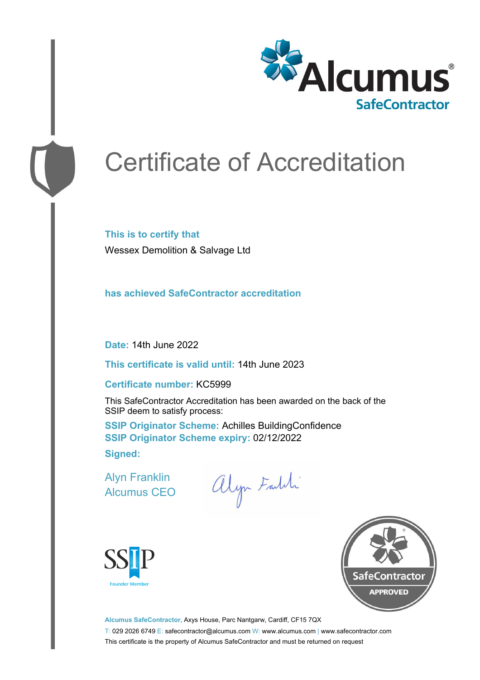

# Certificate of Accreditation

**This is to certify that** Wessex Demolition & Salvage Ltd

**has achieved SafeContractor accreditation**

**Date:** 14th June 2022

**This certificate is valid until:** 14th June 2023

#### **Certificate number:** KC5999

This SafeContractor Accreditation has been awarded on the back of the SSIP deem to satisfy process:

**SSIP Originator Scheme:** Achilles BuildingConfidence **SSIP Originator Scheme expiry:** 02/12/2022 **Signed:**

Alyn Franklin Alcumus CEO

alyn Faldi





**Alcumus SafeContractor,** Axys House, Parc Nantgarw, Cardiff, CF15 7QX T: 029 2026 6749 E: safecontractor@alcumus.com W: www.alcumus.com | www.safecontractor.com This certificate is the property of Alcumus SafeContractor and must be returned on request